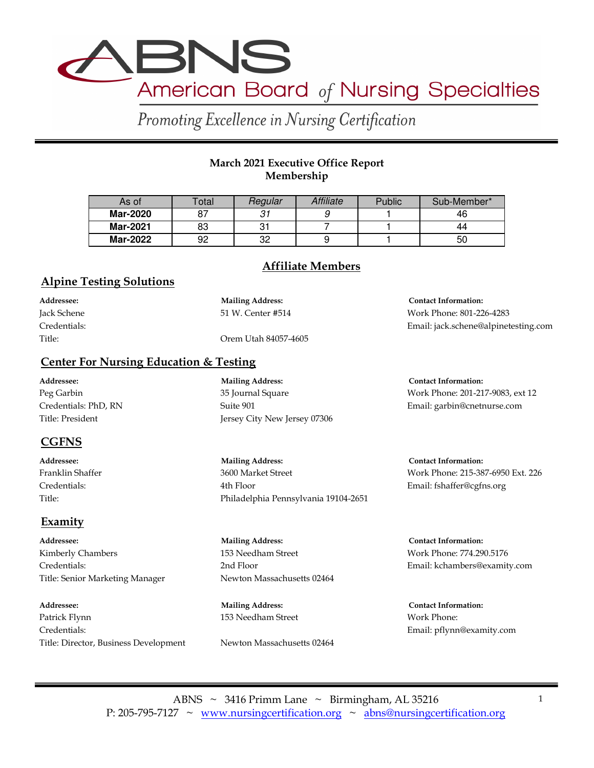

Promoting Excellence in Nursing Certification

# **March 2021 Executive Office Report Membership**

| As of           | Total | Regular | Affiliate | Public | Sub-Member* |
|-----------------|-------|---------|-----------|--------|-------------|
| Mar-2020        | 07    | 31      |           |        | 46          |
| Mar-2021        | 83    |         |           |        | 44          |
| <b>Mar-2022</b> | 92    | 32      |           |        | 50          |

# **Affiliate Members**

### **Alpine Testing Solutions**

| Addressee:   | <b>Mailing Address:</b> | <b>Contact Information:</b>          |
|--------------|-------------------------|--------------------------------------|
| Jack Schene  | 51 W. Center #514       | Work Phone: 801-226-4283             |
| Credentials: |                         | Email: jack.schene@alpinetesting.com |
| Title:       | Orem Utah 84057-4605    |                                      |

#### **Center For Nursing Education & Testing**

**Addressee: Mailing Address: Contact Information:** Peg Garbin 35 Journal Square Work Phone: 201-217-9083, ext 12 Credentials: PhD, RN Suite 901 Email: garbin@cnetnurse.com Title: President Jersey City New Jersey 07306

# **CGFNS**

Title: Philadelphia Pennsylvania 19104-2651

# **Examity**

**Addressee: Mailing Address: Contact Information:** Kimberly Chambers **153 Needham Street** Work Phone: 774.290.5176 Title: Senior Marketing Manager Newton Massachusetts 02464

**Addressee: Mailing Address: Contact Information:** Patrick Flynn 153 Needham Street Work Phone: Credentials: Email: pflynn@examity.com Title: Director, Business Development Newton Massachusetts 02464

**Addressee: Mailing Address: Contact Information:** Franklin Shaffer 3600 Market Street Work Phone: 215-387-6950 Ext. 226

Credentials: 4th Floor Email: fshaffer@cgfns.org

Credentials: 2nd Floor Email: kchambers@examity.com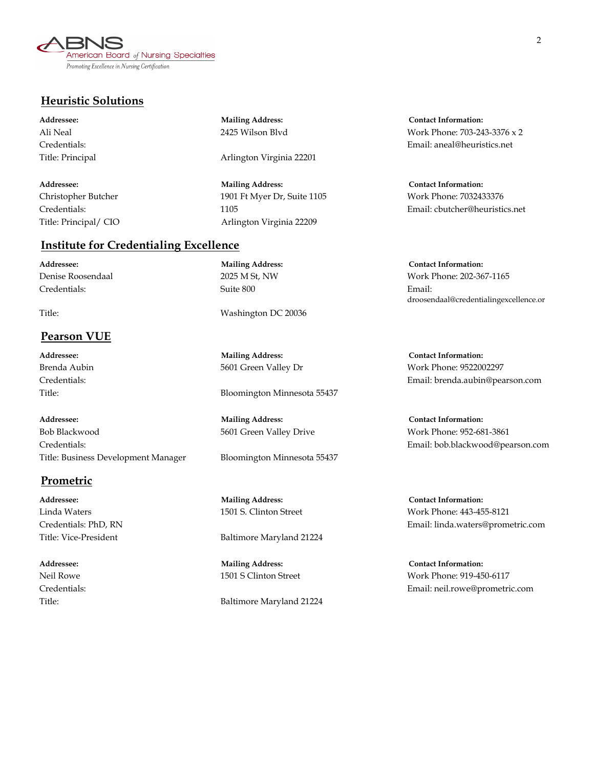

### **Heuristic Solutions**

#### **Institute for Credentialing Excellence**

**Addressee: Mailing Address: Contact Information:** Credentials: Suite 800 Email:

#### **Pearson VUE**

**Addressee: Mailing Address: Contact Information:** Bob Blackwood 5601 Green Valley Drive Work Phone: 952-681-3861 Credentials: Email: bob.blackwood@pearson.com Title: Business Development Manager Bloomington Minnesota 55437

#### **Prometric**

Title: Principal **Arlington Virginia 22201** 

**Addressee: Mailing Address: Contact Information:** Christopher Butcher 1901 Ft Myer Dr, Suite 1105 Work Phone: 7032433376 Title: Principal/ CIO Arlington Virginia 22209

Title: Washington DC 20036

**Addressee: Mailing Address: Contact Information:**

Title: Bloomington Minnesota 55437

**Addressee: Mailing Address: Contact Information:**

Title: Vice-President Baltimore Maryland 21224

**Addressee: Mailing Address: Contact Information:**

Title: Baltimore Maryland 21224

**Addressee: Mailing Address: Contact Information:** Ali Neal 2425 Wilson Blvd Work Phone: 703-243-3376 x 2 Credentials: Email: aneal@heuristics.net

Credentials: 1105 Email: cbutcher@heuristics.net

Denise Roosendaal 2025 M St, NW Work Phone: 202-367-1165 droosendaal@credentialingexcellence.or

Brenda Aubin **1988** 5601 Green Valley Dr Work Phone: 9522002297 Credentials: Email: brenda.aubin@pearson.com

Linda Waters 1501 S. Clinton Street Work Phone: 443-455-8121 Credentials: PhD, RN Email: linda.waters@prometric.com

Neil Rowe 1501 S Clinton Street Work Phone: 919-450-6117 Credentials: Email: neil.rowe@prometric.com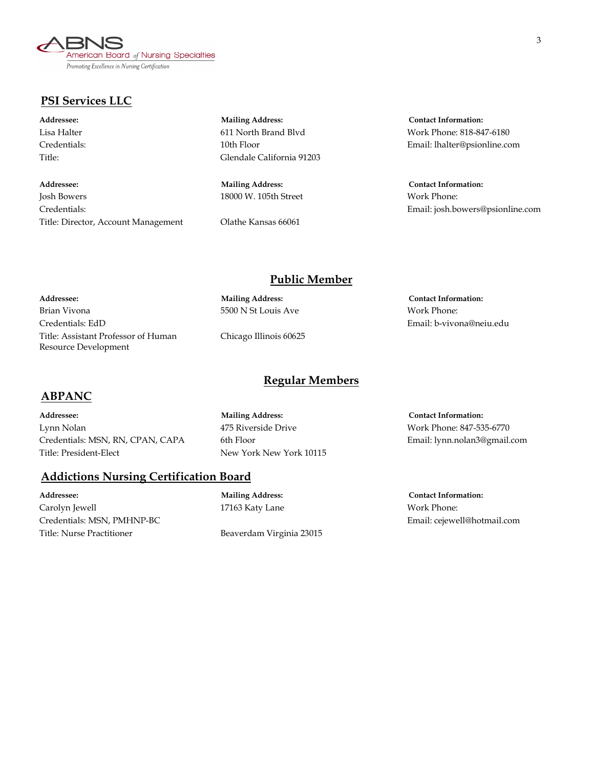American Board of Nursing Specialties Promoting Excellence in Nursing Certification

# **PSI Services LLC**

**Addressee: Mailing Address: Contact Information:** Josh Bowers 18000 W. 105th Street Work Phone: Credentials: Email: josh.bowers@psionline.com Title: Director, Account Management Olathe Kansas 66061

**Addressee: Mailing Address: Contact Information:** Title: Glendale California 91203

Lisa Halter 611 North Brand Blvd Work Phone: 818-847-6180 Credentials: 10th Floor Email: lhalter@psionline.com

### **Public Member**

**Addressee: Mailing Address: Contact Information:** Brian Vivona 5500 N St Louis Ave Work Phone: Credentials: EdD Email: b-vivona@neiu.edu

Title: Assistant Professor of Human Chicago Illinois 60625

# **Regular Members**

#### **ABPANC**

Resource Development

**Addressee: Mailing Address: Contact Information:** Lynn Nolan 475 Riverside Drive Work Phone: 847-535-6770 Credentials: MSN, RN, CPAN, CAPA 6th Floor Email: lynn.nolan3@gmail.com Title: President-Elect New York New York 10115

#### **Addictions Nursing Certification Board**

**Addressee: Mailing Address: Contact Information:** Carolyn Jewell 17163 Katy Lane Work Phone: Credentials: MSN, PMHNP-BC Email: cejewell@hotmail.com Title: Nurse Practitioner **Beaverdam Virginia 23015**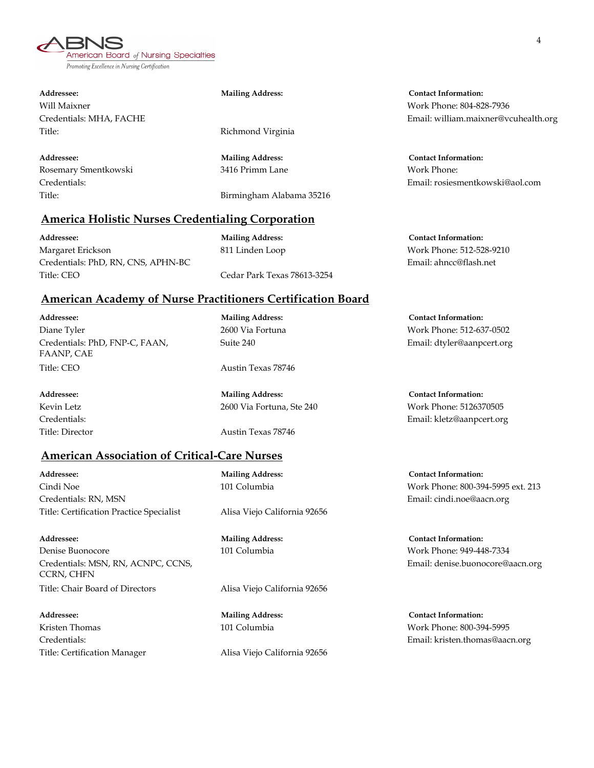American Board of Nursing Specialties Promoting Excellence in Nursing Certification

Will Maixner Work Phone: 804-828-7936 Title: Title: Richmond Virginia

Rosemary Smentkowski 3416 Primm Lane Work Phone:

Title: Birmingham Alabama 35216

# **America Holistic Nurses Credentialing Corporation**

**Addressee: Mailing Address: Contact Information:** Margaret Erickson 811 Linden Loop Work Phone: 512-528-9210 Credentials: PhD, RN, CNS, APHN-BC Email: ahncc@flash.net Title: CEO Cedar Park Texas 78613-3254

# **American Academy of Nurse Practitioners Certification Board**

**Addressee: Mailing Address: Contact Information:** Diane Tyler 2600 Via Fortuna Work Phone: 512-637-0502 Credentials: PhD, FNP-C, FAAN, Suite 240 Email: dtyler@aanpcert.org FAANP, CAE Title: CEO Austin Texas 78746

Title: Director **Austin Texas 78746** 

# **American Association of Critical-Care Nurses**

**Addressee: Mailing Address: Contact Information:** Cindi Noe 101 Columbia Work Phone: 800-394-5995 ext. 213 Credentials: RN, MSN Email: cindi.noe@aacn.org Title: Certification Practice Specialist Alisa Viejo California 92656

**Addressee: Mailing Address: Contact Information:** Denise Buonocore 101 Columbia Work Phone: 949-448-7334 Credentials: MSN, RN, ACNPC, CCNS, Email: denise.buonocore@aacn.org CCRN, CHFN Title: Chair Board of Directors Alisa Viejo California 92656

**Addressee: Mailing Address: Contact Information:** Kristen Thomas 101 Columbia Work Phone: 800-394-5995 Title: Certification Manager Alisa Viejo California 92656

**Addressee: Mailing Address: Contact Information:** Credentials: MHA, FACHE Email: william.maixner@vcuhealth.org

**Addressee: Mailing Address: Contact Information:** Credentials: Email: rosiesmentkowski@aol.com

**Addressee: Mailing Address: Contact Information:** Kevin Letz 2600 Via Fortuna, Ste 240 Work Phone: 5126370505 Credentials: Email: kletz@aanpcert.org

Credentials: Email: kristen.thomas@aacn.org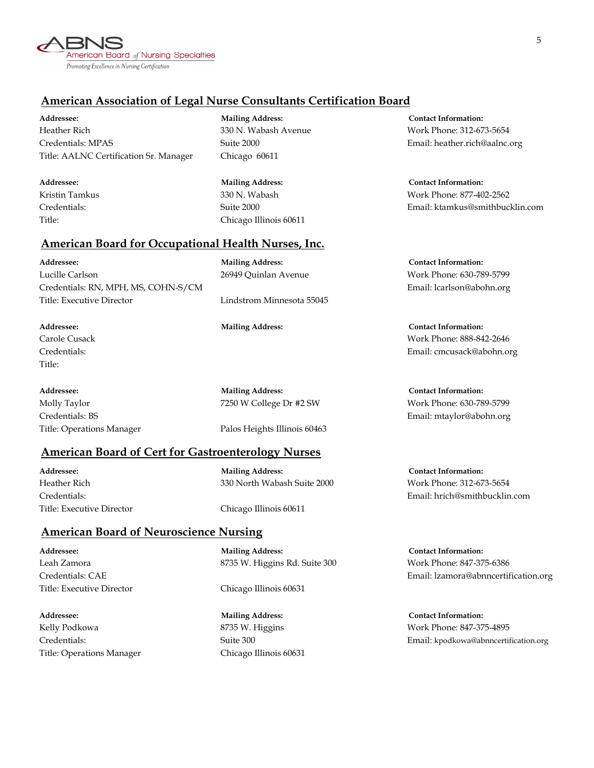

# **American Association of Legal Nurse Consultants Certification Board**

**Addressee: Mailing Address: Contact Information:** Heather Rich 330 N. Wabash Avenue Work Phone: 312-673-5654 Credentials: MPAS Suite 2000 Email: heather.rich@aalnc.org Title: AALNC Certification Sr. Manager Chicago 60611

**Addressee: Mailing Address: Contact Information:** Title: Chicago Illinois 60611

#### **American Board for Occupational Health Nurses, Inc.**

**Addressee: Mailing Address: Contact Information:** Lucille Carlson 26949 Quinlan Avenue Work Phone: 630-789-5799 Credentials: RN, MPH, MS, COHN-S/CM Email: lcarlson@abohn.org Title: Executive Director Lindstrom Minnesota 55045

Title:

**Addressee: Mailing Address: Contact Information:**

Title: Operations Manager Palos Heights Illinois 60463

#### **American Board of Cert for Gastroenterology Nurses**

**Addressee: Mailing Address: Contact Information:** Title: Executive Director Chicago Illinois 60611

Heather Rich 330 North Wabash Suite 2000 Work Phone: 312-673-5654

#### **American Board of Neuroscience Nursing**

Title: Executive Director Chicago Illinois 60631

**Addressee: Mailing Address: Contact Information:** Kelly Podkowa 8735 W. Higgins Work Phone: 847-375-4895 Title: Operations Manager Chicago Illinois 60631

**Addressee: Mailing Address: Contact Information:** Leah Zamora 8735 W. Higgins Rd. Suite 300 Work Phone: 847-375-6386

Kristin Tamkus 330 N. Wabash Work Phone: 877-402-2562 Credentials: Suite 2000 Email: ktamkus@smithbucklin.com

**Addressee: Mailing Address: Contact Information:** Carole Cusack Work Phone: 888-842-2646 Credentials: Email: cmcusack@abohn.org

Molly Taylor 7250 W College Dr #2 SW Work Phone: 630-789-5799 Credentials: BS Email: mtaylor@abohn.org

Credentials: Email: hrich@smithbucklin.com

Credentials: CAE Email: lzamora@abnncertification.org

Credentials: Suite 300 Email: kpodkowa@abnncertification.org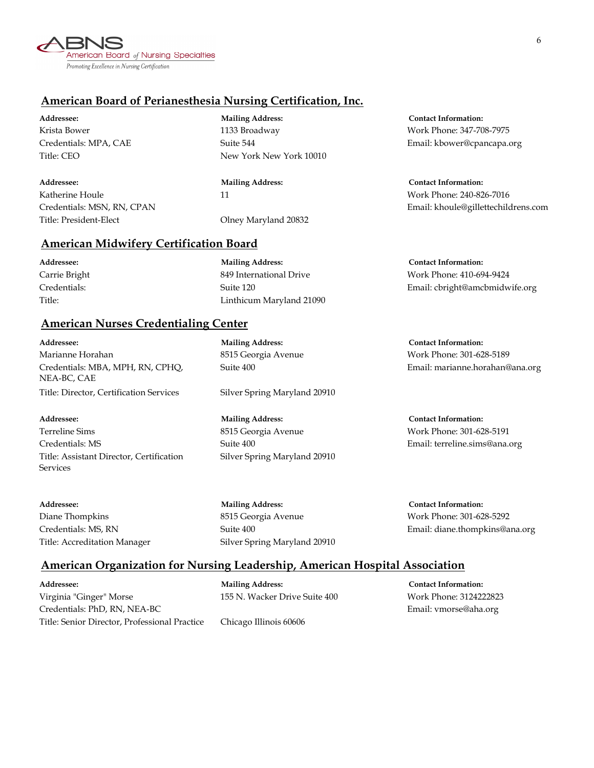

# **American Board of Perianesthesia Nursing Certification, Inc.**

**Addressee: Mailing Address: Contact Information:** Katherine Houle 11 and 11 More 240-826-7016 Title: President-Elect Olney Maryland 20832

**Addressee: Mailing Address: Contact Information:** Krista Bower 1133 Broadway Work Phone: 347-708-7975 Title: CEO New York New York 10010

### **American Midwifery Certification Board**

Title: Linthicum Maryland 21090

### **American Nurses Credentialing Center**

**Addressee: Mailing Address: Contact Information:** Marianne Horahan 8515 Georgia Avenue Work Phone: 301-628-5189 Credentials: MBA, MPH, RN, CPHQ, Suite 400 Email: marianne.horahan@ana.org NEA-BC, CAE Title: Director, Certification Services Silver Spring Maryland 20910

Terreline Sims 8515 Georgia Avenue Work Phone: 301-628-5191 Credentials: MS Suite 400 Email: terreline.sims@ana.org Title: Assistant Director, Certification Silver Spring Maryland 20910 **Services** 

**Addressee: Mailing Address: Contact Information:**

Credentials: MPA, CAE Suite 544 Email: kbower@cpancapa.org

Credentials: MSN, RN, CPAN Email: khoule@gillettechildrens.com

**Addressee: Mailing Address: Contact Information:** Carrie Bright **849 International Drive** Work Phone: 410-694-9424 Credentials: Suite 120 Email: cbright@amcbmidwife.org

**Addressee: Mailing Address: Contact Information:**

Diane Thompkins 8515 Georgia Avenue Work Phone: 301-628-5292 Title: Accreditation Manager Silver Spring Maryland 20910

Credentials: MS, RN Suite 400 Suite 400 Email: diane.thompkins@ana.org

#### **American Organization for Nursing Leadership, American Hospital Association**

**Addressee: Mailing Address: Contact Information:** Virginia "Ginger" Morse 155 N. Wacker Drive Suite 400 Work Phone: 3124222823 Credentials: PhD, RN, NEA-BC **Email:** vmorse@aha.org Email: vmorse@aha.org Title: Senior Director, Professional Practice Chicago Illinois 60606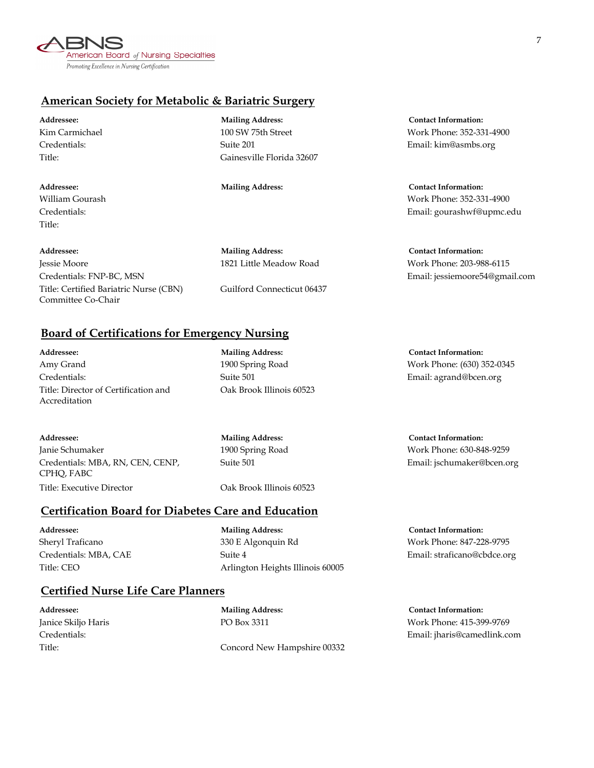

# **American Society for Metabolic & Bariatric Surgery**

| Addressee:     |
|----------------|
| Kim Carmichael |
| Credentials:   |
| Title:         |

Title:

**Addressee: Mailing Address: Contact Information:** Jessie Moore 1821 Little Meadow Road Work Phone: 203-988-6115 Credentials: FNP-BC, MSN Email: jessiemoore54@gmail.com Title: Certified Bariatric Nurse (CBN) Guilford Connecticut 06437 Committee Co-Chair

**Mailing Address: Contact Information:** Suite 201 Email: kim@asmbs.org Gainesville Florida 32607

100 SW 75th Street Work Phone: 352-331-4900

**Addressee: Mailing Address: Contact Information:** William Gourash Work Phone: 352-331-4900 Credentials: Email: gourashwf@upmc.edu

# **Board of Certifications for Emergency Nursing**

**Addressee: Mailing Address: Contact Information:** Amy Grand 1900 Spring Road Work Phone: (630) 352-0345 Credentials: Suite 501 Email: agrand@bcen.org Title: Director of Certification and **Oak Brook Illinois 60523** Accreditation

**Addressee: Mailing Address: Contact Information:** Janie Schumaker 1900 Spring Road Work Phone: 630-848-9259 Credentials: MBA, RN, CEN, CENP, Suite 501 Email: jschumaker@bcen.org CPHQ, FABC Title: Executive Director Cak Brook Illinois 60523

## **Certification Board for Diabetes Care and Education**

Title: CEO Arlington Heights Illinois 60005

**Addressee: Mailing Address: Contact Information:** Sheryl Traficano 330 E Algonquin Rd Work Phone: 847-228-9795 Credentials: MBA, CAE Suite 4 Email: straficano@cbdce.org

#### **Certified Nurse Life Care Planners**

Credentials: Email: jharis@camedlink.com

Title: Concord New Hampshire 00332

**Addressee: Mailing Address: Contact Information:** Janice Skiljo Haris PO Box 3311 Work Phone: 415-399-9769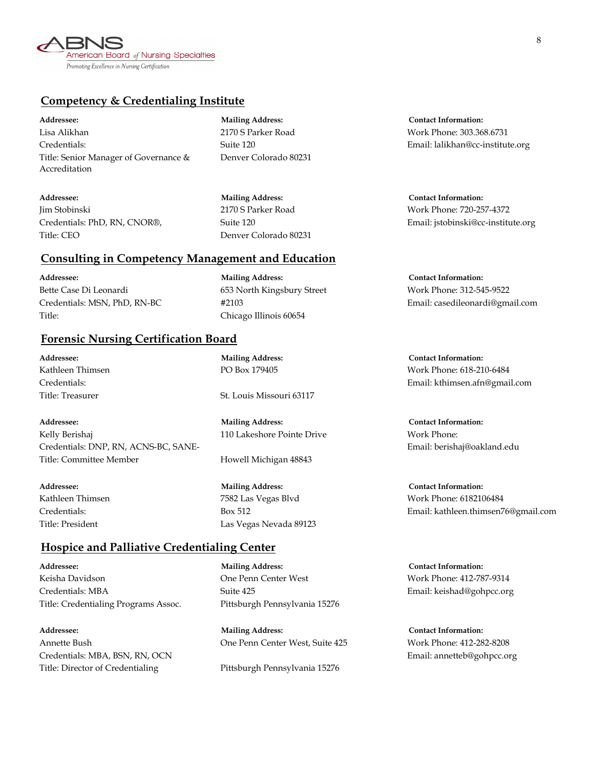

# **Competency & Credentialing Institute**

Lisa Alikhan 2170 S Parker Road Work Phone: 303.368.6731 Credentials: Suite 120 Email: lalikhan@cc-institute.org Title: Senior Manager of Governance & Denver Colorado 80231 Accreditation

**Addressee: Mailing Address: Contact Information:** Jim Stobinski 2170 S Parker Road Work Phone: 720-257-4372 Title: CEO Denver Colorado 80231

**Consulting in Competency Management and Education**

**Addressee: Mailing Address: Contact Information:** Bette Case Di Leonardi 653 North Kingsbury Street Work Phone: 312-545-9522 Title: Chicago Illinois 60654

#### **Forensic Nursing Certification Board**

**Addressee: Mailing Address: Contact Information:** Kelly Berishaj 110 Lakeshore Pointe Drive Work Phone: Credentials: DNP, RN, ACNS-BC, SANE- Email: berishaj@oakland.edu Title: Committee Member Howell Michigan 48843

**Hospice and Palliative Credentialing Center**

Keisha Davidson One Penn Center West Work Phone: 412-787-9314 Credentials: MBA Suite 425 Email: keishad@gohpcc.org Title: Credentialing Programs Assoc. Pittsburgh Pennsylvania 15276

**Addressee: Mailing Address: Contact Information:** Annette Bush One Penn Center West, Suite 425 Work Phone: 412-282-8208 Credentials: MBA, BSN, RN, OCN Email: annetteb@gohpcc.org Title: Director of Credentialing Pittsburgh Pennsylvania 15276

**Addressee: Mailing Address: Contact Information:**

Credentials: PhD, RN, CNOR®, Suite 120 Email: jstobinski@cc-institute.org

Credentials: MSN, PhD, RN-BC #2103 Email: casedileonardi@gmail.com

Credentials: Email: kthimsen.afn@gmail.com

Kathleen Thimsen 7582 Las Vegas Blvd Work Phone: 6182106484 Credentials: Box 512 Email: kathleen.thimsen76@gmail.com

**Addressee: Mailing Address: Contact Information:**

**Addressee: Mailing Address: Contact Information:** Kathleen Thimsen **PO Box 179405** Work Phone: 618-210-6484

Title: Treasurer St. Louis Missouri 63117

**Addressee: Mailing Address: Contact Information:** Title: President Las Vegas Nevada 89123

8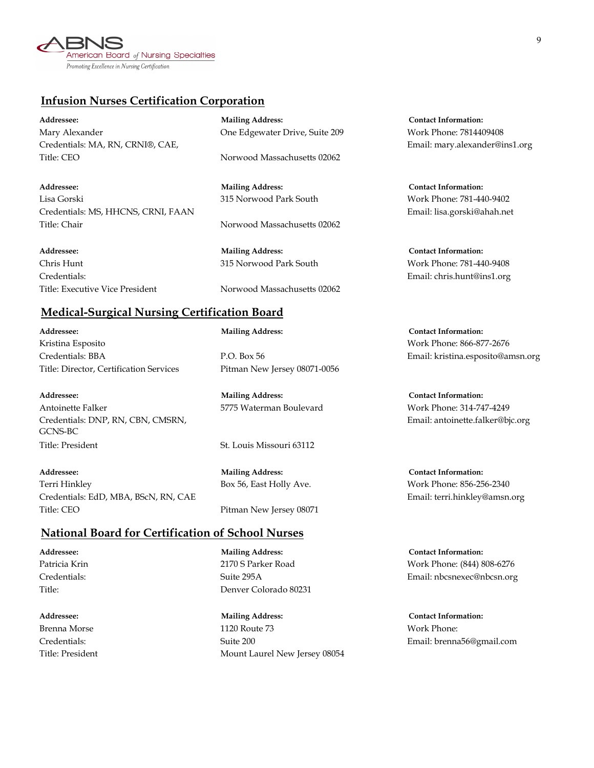American Board of Nursing Specialties Promoting Excellence in Nursing Certification

## **Infusion Nurses Certification Corporation**

**Addressee: Mailing Address: Contact Information:** Mary Alexander One Edgewater Drive, Suite 209 Work Phone: 7814409408 Credentials: MA, RN, CRNI®, CAE, Email: mary.alexander@ins1.org Title: CEO Norwood Massachusetts 02062

**Addressee: Mailing Address: Contact Information:** Lisa Gorski 315 Norwood Park South Work Phone: 781-440-9402 Credentials: MS, HHCNS, CRNI, FAAN Email: lisa.gorski@ahah.net Title: Chair **Norwood Massachusetts 02062** 

**Addressee: Mailing Address: Contact Information:** Chris Hunt 315 Norwood Park South Work Phone: 781-440-9408 Credentials: Email: chris.hunt@ins1.org

Title: Executive Vice President Norwood Massachusetts 02062

# **Medical-Surgical Nursing Certification Board**

**Addressee: Mailing Address: Contact Information:** Kristina Esposito Work Phone: 866-877-2676 Credentials: BBA P.O. Box 56 Email: kristina.esposito@amsn.org Title: Director, Certification Services Pitman New Jersey 08071-0056

**Addressee: Mailing Address: Contact Information:** Antoinette Falker **1988** S775 Waterman Boulevard Work Phone: 314-747-4249 Credentials: DNP, RN, CBN, CMSRN, Email: antoinette.falker@bjc.org GCNS-BC Title: President St. Louis Missouri 63112

**Addressee: Mailing Address: Contact Information:** Terri Hinkley Box 56, East Holly Ave. Work Phone: 856-256-2340 Credentials: EdD, MBA, BScN, RN, CAE Email: terri.hinkley@amsn.org Title: CEO Pitman New Jersey 08071

# **National Board for Certification of School Nurses**

**Addressee: Mailing Address: Contact Information:** Title: Denver Colorado 80231

**Addressee: Mailing Address: Contact Information:** Brenna Morse 1120 Route 73 Work Phone: Credentials: Suite 200 Email: brenna56@gmail.com Title: President Mount Laurel New Jersey 08054

Patricia Krin 2170 S Parker Road Work Phone: (844) 808-6276 Credentials: Suite 295A Email: nbcsnexec@nbcsn.org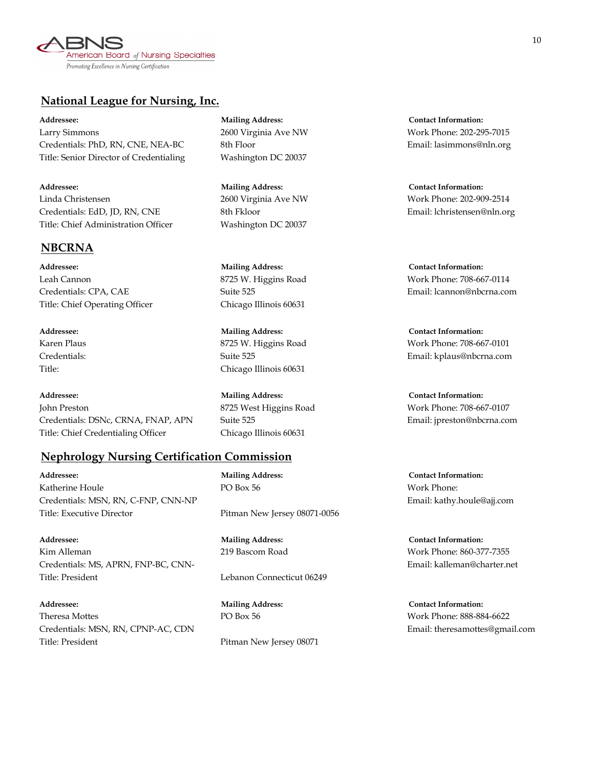

### **National League for Nursing, Inc.**

**Addressee: Mailing Address: Contact Information:** Larry Simmons 2600 Virginia Ave NW Work Phone: 202-295-7015 Credentials: PhD, RN, CNE, NEA-BC 8th Floor Email: lasimmons@nln.org Title: Senior Director of Credentialing Washington DC 20037

**Addressee: Mailing Address: Contact Information:** Linda Christensen 2600 Virginia Ave NW Work Phone: 202-909-2514 Credentials: EdD, JD, RN, CNE 8th Fkloor 8th Fkloor Email: lchristensen@nln.org Title: Chief Administration Officer Washington DC 20037

# **NBCRNA**

**Addressee: Mailing Address: Contact Information:** Leah Cannon 8725 W. Higgins Road Work Phone: 708-667-0114 Credentials: CPA, CAE Suite 525 Email: lcannon@nbcrna.com Title: Chief Operating Officer Chicago Illinois 60631

**Addressee: Mailing Address: Contact Information:** John Preston 8725 West Higgins Road Work Phone: 708-667-0107 Credentials: DSNc, CRNA, FNAP, APN Suite 525 Email: jpreston@nbcrna.com Title: Chief Credentialing Officer Chicago Illinois 60631

# **Nephrology Nursing Certification Commission**

**Addressee: Mailing Address: Contact Information:** Katherine Houle **PO Box 56** Work Phone: Credentials: MSN, RN, C-FNP, CNN-NP Email: kathy.houle@ajj.com Title: Executive Director Pitman New Jersey 08071-0056

**Addressee: Mailing Address: Contact Information:** Kim Alleman 219 Bascom Road Work Phone: 860-377-7355 Credentials: MS, APRN, FNP-BC, CNN- Email: kalleman@charter.net Title: President **Lebanon** Connecticut 06249

**Addressee: Mailing Address: Contact Information:** Theresa Mottes PO Box 56 Work Phone: 888-884-6622 Credentials: MSN, RN, CPNP-AC, CDN Email: theresamottes@gmail.com Title: President Pitman New Jersey 08071

Title: Chicago Illinois 60631

**Addressee: Mailing Address: Contact Information:** Karen Plaus **8725 W. Higgins Road** Work Phone: 708-667-0101 Credentials: Suite 525 Email: kplaus@nbcrna.com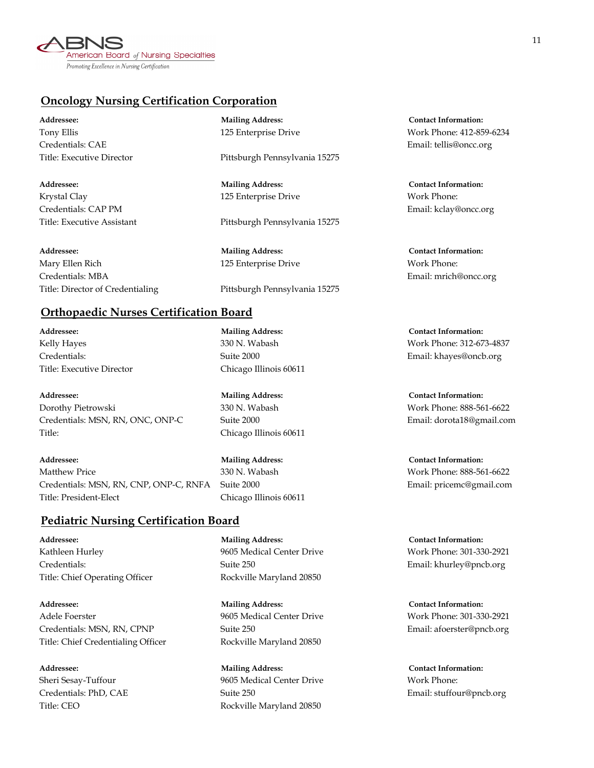

# **Oncology Nursing Certification Corporation**

**Addressee: Mailing Address: Contact Information:** Credentials: CAE Email: tellis@oncc.org

**Addressee: Mailing Address: Contact Information:** Krystal Clay **125 Enterprise Drive Work Phone:** Credentials: CAP PM Email: kclay@oncc.org

**Addressee: Mailing Address: Contact Information:** Mary Ellen Rich 125 Enterprise Drive Work Phone: Credentials: MBA Email: mrich@oncc.org

Title: Executive Director Pittsburgh Pennsylvania 15275

Title: Executive Assistant Pittsburgh Pennsylvania 15275

Title: Director of Credentialing Pittsburgh Pennsylvania 15275

Tony Ellis 125 Enterprise Drive Work Phone: 412-859-6234

### **Orthopaedic Nurses Certification Board**

**Addressee: Mailing Address: Contact Information:** Title: Executive Director Chicago Illinois 60611

**Addressee: Mailing Address: Contact Information:** Dorothy Pietrowski 330 N. Wabash Work Phone: 888-561-6622 Credentials: MSN, RN, ONC, ONP-C Suite 2000 Email: dorota18@gmail.com Title: Chicago Illinois 60611

**Addressee: Mailing Address: Contact Information:** Matthew Price 330 N. Wabash Work Phone: 888-561-6622 Credentials: MSN, RN, CNP, ONP-C, RNFA Suite 2000 Email: pricemc@gmail.com Title: President-Elect Chicago Illinois 60611

#### **Pediatric Nursing Certification Board**

Kathleen Hurley **19605 Medical Center Drive** Work Phone: 301-330-2921 Credentials: Suite 250 Email: khurley@pncb.org Title: Chief Operating Officer Rockville Maryland 20850

**Addressee: Mailing Address: Contact Information:** Adele Foerster 9605 Medical Center Drive Work Phone: 301-330-2921 Credentials: MSN, RN, CPNP Suite 250 Email: afoerster@pncb.org Title: Chief Credentialing Officer Rockville Maryland 20850

**Addressee: Mailing Address: Contact Information:**

**Addressee: Mailing Address: Contact Information:** Sheri Sesay-Tuffour 9605 Medical Center Drive Work Phone: Credentials: PhD, CAE Suite 250 Email: stuffour@pncb.org Title: CEO Rockville Maryland 20850

Kelly Hayes 330 N. Wabash Work Phone: 312-673-4837 Credentials: Suite 2000 Email: khayes@oncb.org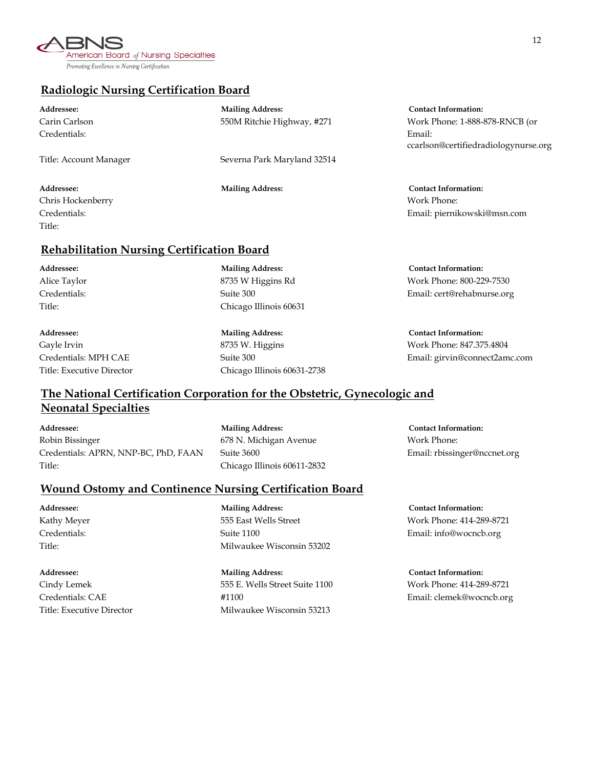

### **Radiologic Nursing Certification Board**

| Addressee:             | <b>Mailing Address:</b>     | <b>Contact Information:</b>                 |
|------------------------|-----------------------------|---------------------------------------------|
| Carin Carlson          | 550M Ritchie Highway, #271  | Work Phone: 1-888-878-RNCB (or              |
| Credentials:           |                             | Email:<br>ccarlson@certifiedradiologynurse. |
| Title: Account Manager | Severna Park Maryland 32514 |                                             |

Chris Hockenberry Work Phone: Title:

#### **Rehabilitation Nursing Certification Board**

**Addressee: Mailing Address: Contact Information:**

Title: Chicago Illinois 60631

Gayle Irvin 8735 W. Higgins Work Phone: 847.375.4804 Title: Executive Director Chicago Illinois 60631-2738

**Addressee: Mailing Address: Contact Information:** ccarlson@certifiedradiologynurse.org

**Addressee: Mailing Address: Contact Information:** Credentials: Email: piernikowski@msn.com

**Addressee: Mailing Address: Contact Information:** Alice Taylor **8735 W Higgins Rd** Work Phone: 800-229-7530 W Mork Phone: 800-229-7530 Credentials: Suite 300 Email: cert@rehabnurse.org

Credentials: MPH CAE Suite 300 Email: girvin@connect2amc.com

# **The National Certification Corporation for the Obstetric, Gynecologic and Neonatal Specialties**

**Addressee: Mailing Address: Contact Information:** Robin Bissinger **678 N.** Michigan Avenue **Work Phone:** Credentials: APRN, NNP-BC, PhD, FAAN Suite 3600 Email: rbissinger@nccnet.org Title: Chicago Illinois 60611-2832

#### **Wound Ostomy and Continence Nursing Certification Board**

**Addressee: Mailing Address: Contact Information:** Kathy Meyer 555 East Wells Street Work Phone: 414-289-8721 Credentials: Suite 1100 Email: info@wocncb.org Title: Milwaukee Wisconsin 53202

**Addressee: Mailing Address: Contact Information:** Cindy Lemek 555 E. Wells Street Suite 1100 Work Phone: 414-289-8721 Credentials: CAE #1100 Email: clemek@wocncb.org Title: Executive Director Milwaukee Wisconsin 53213